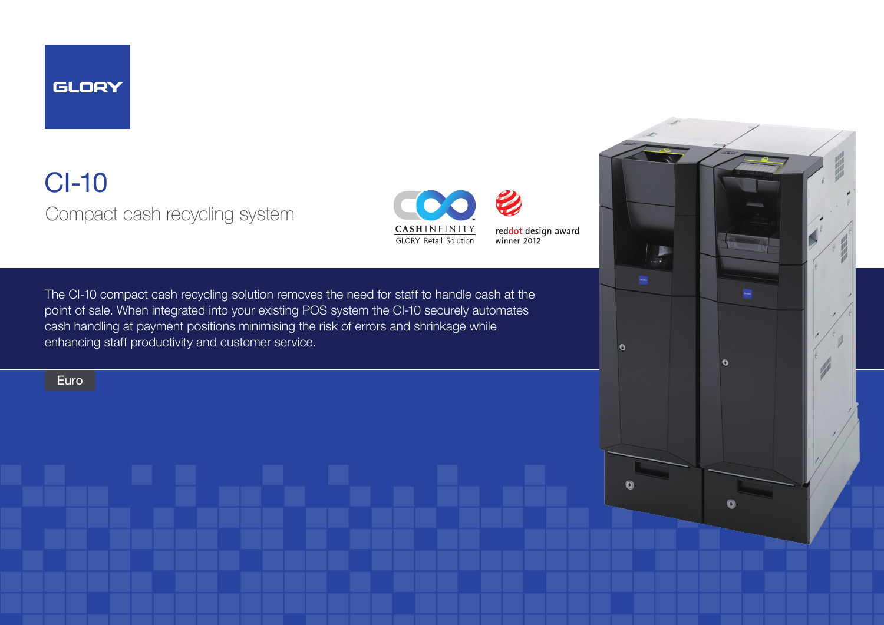

Euro

## CI-10 Compact cash recycling system

The CI-10 compact cash recycling solution removes the need for staff to handle cash at the

point of sale. When integrated into your existing POS system the CI-10 securely automates cash handling at payment positions minimising the risk of errors and shrinkage while enhancing staff productivity and customer service.

 $\overline{\mathbf{0}}$  $\mathbf{a}$  $\odot$  $\odot$ 

red<mark>dot</mark> design award<br>winner 2012

**CASHINFINITY GLORY Retail Solution**